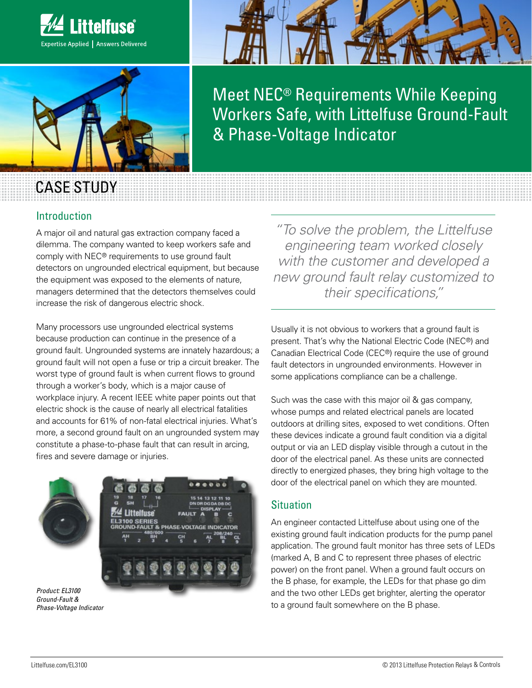





Meet NEC® Requirements While Keeping Workers Safe, with Littelfuse Ground-Fault & Phase-Voltage Indicator

## Case Study

## Introduction

A major oil and natural gas extraction company faced a dilemma. The company wanted to keep workers safe and comply with NEC® requirements to use ground fault detectors on ungrounded electrical equipment, but because the equipment was exposed to the elements of nature, managers determined that the detectors themselves could increase the risk of dangerous electric shock.

Many processors use ungrounded electrical systems because production can continue in the presence of a ground fault. Ungrounded systems are innately hazardous; a ground fault will not open a fuse or trip a circuit breaker. The worst type of ground fault is when current flows to ground through a worker's body, which is a major cause of workplace injury. A recent IEEE white paper points out that electric shock is the cause of nearly all electrical fatalities and accounts for 61% of non-fatal electrical injuries. What's more, a second ground fault on an ungrounded system may constitute a phase-to-phase fault that can result in arcing, fires and severe damage or injuries.



*Phase-Voltage Indicator*

*"To solve the problem, the Littelfuse engineering team worked closely with the customer and developed a new ground fault relay customized to their specifications,"*

Usually it is not obvious to workers that a ground fault is present. That's why the National Electric Code (NEC®) and Canadian Electrical Code (CEC®) require the use of ground fault detectors in ungrounded environments. However in some applications compliance can be a challenge.

Such was the case with this major oil & gas company, whose pumps and related electrical panels are located outdoors at drilling sites, exposed to wet conditions. Often these devices indicate a ground fault condition via a digital output or via an LED display visible through a cutout in the door of the electrical panel. As these units are connected directly to energized phases, they bring high voltage to the door of the electrical panel on which they are mounted.

## **Situation**

An engineer contacted Littelfuse about using one of the existing ground fault indication products for the pump panel application. The ground fault monitor has three sets of LEDs (marked A, B and C to represent three phases of electric power) on the front panel. When a ground fault occurs on the B phase, for example, the LEDs for that phase go dim and the two other LEDs get brighter, alerting the operator to a ground fault somewhere on the B phase.